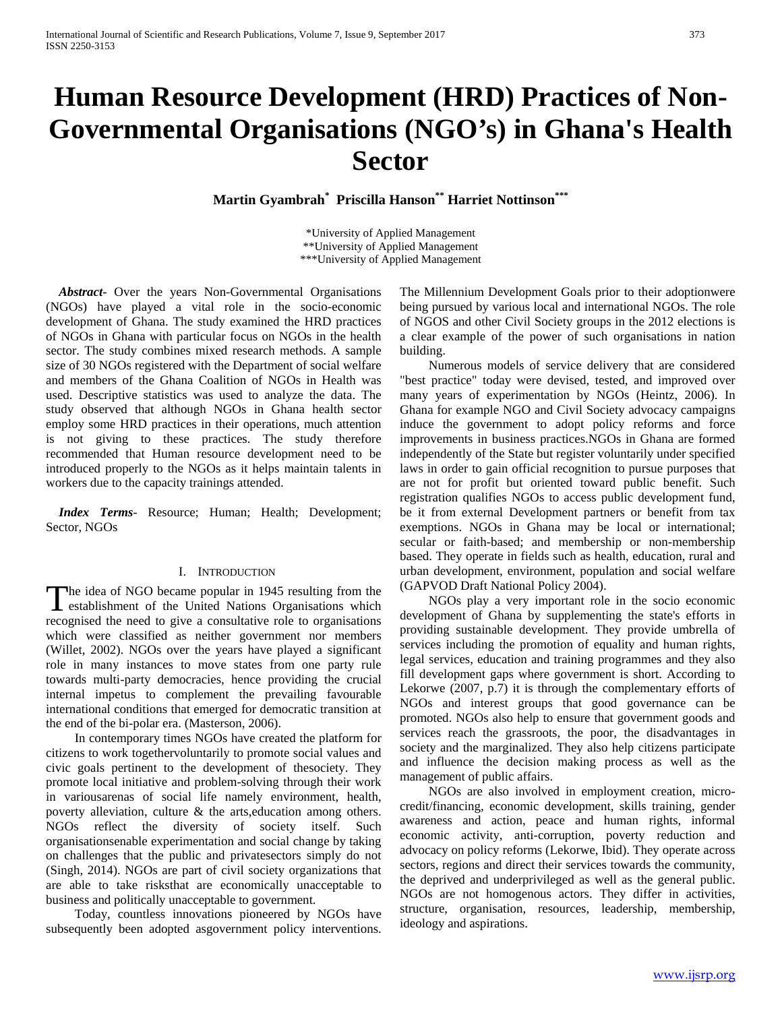# **Human Resource Development (HRD) Practices of Non-Governmental Organisations (NGO's) in Ghana's Health Sector**

**Martin Gyambrah\* Priscilla Hanson\*\* Harriet Nottinson\*\*\***

\*University of Applied Management \*\*University of Applied Management \*\*\*University of Applied Management

 *Abstract***-** Over the years Non-Governmental Organisations (NGOs) have played a vital role in the socio-economic development of Ghana. The study examined the HRD practices of NGOs in Ghana with particular focus on NGOs in the health sector. The study combines mixed research methods. A sample size of 30 NGOs registered with the Department of social welfare and members of the Ghana Coalition of NGOs in Health was used. Descriptive statistics was used to analyze the data. The study observed that although NGOs in Ghana health sector employ some HRD practices in their operations, much attention is not giving to these practices. The study therefore recommended that Human resource development need to be introduced properly to the NGOs as it helps maintain talents in workers due to the capacity trainings attended.

 *Index Terms*- Resource; Human; Health; Development; Sector, NGOs

#### I. INTRODUCTION

The idea of NGO became popular in 1945 resulting from the The idea of NGO became popular in 1945 resulting from the establishment of the United Nations Organisations which recognised the need to give a consultative role to organisations which were classified as neither government nor members (Willet, 2002). NGOs over the years have played a significant role in many instances to move states from one party rule towards multi-party democracies, hence providing the crucial internal impetus to complement the prevailing favourable international conditions that emerged for democratic transition at the end of the bi-polar era. (Masterson, 2006).

 In contemporary times NGOs have created the platform for citizens to work togethervoluntarily to promote social values and civic goals pertinent to the development of thesociety. They promote local initiative and problem-solving through their work in variousarenas of social life namely environment, health, poverty alleviation, culture & the arts,education among others. NGOs reflect the diversity of society itself. Such organisationsenable experimentation and social change by taking on challenges that the public and privatesectors simply do not (Singh, 2014). NGOs are part of civil society organizations that are able to take risksthat are economically unacceptable to business and politically unacceptable to government.

 Today, countless innovations pioneered by NGOs have subsequently been adopted asgovernment policy interventions.

The Millennium Development Goals prior to their adoptionwere being pursued by various local and international NGOs. The role of NGOS and other Civil Society groups in the 2012 elections is a clear example of the power of such organisations in nation building.

 Numerous models of service delivery that are considered "best practice" today were devised, tested, and improved over many years of experimentation by NGOs (Heintz, 2006). In Ghana for example NGO and Civil Society advocacy campaigns induce the government to adopt policy reforms and force improvements in business practices.NGOs in Ghana are formed independently of the State but register voluntarily under specified laws in order to gain official recognition to pursue purposes that are not for profit but oriented toward public benefit. Such registration qualifies NGOs to access public development fund, be it from external Development partners or benefit from tax exemptions. NGOs in Ghana may be local or international; secular or faith-based; and membership or non-membership based. They operate in fields such as health, education, rural and urban development, environment, population and social welfare (GAPVOD Draft National Policy 2004).

 NGOs play a very important role in the socio economic development of Ghana by supplementing the state's efforts in providing sustainable development. They provide umbrella of services including the promotion of equality and human rights, legal services, education and training programmes and they also fill development gaps where government is short. According to Lekorwe (2007, p.7) it is through the complementary efforts of NGOs and interest groups that good governance can be promoted. NGOs also help to ensure that government goods and services reach the grassroots, the poor, the disadvantages in society and the marginalized. They also help citizens participate and influence the decision making process as well as the management of public affairs.

 NGOs are also involved in employment creation, microcredit/financing, economic development, skills training, gender awareness and action, peace and human rights, informal economic activity, anti-corruption, poverty reduction and advocacy on policy reforms (Lekorwe, Ibid). They operate across sectors, regions and direct their services towards the community, the deprived and underprivileged as well as the general public. NGOs are not homogenous actors. They differ in activities, structure, organisation, resources, leadership, membership, ideology and aspirations.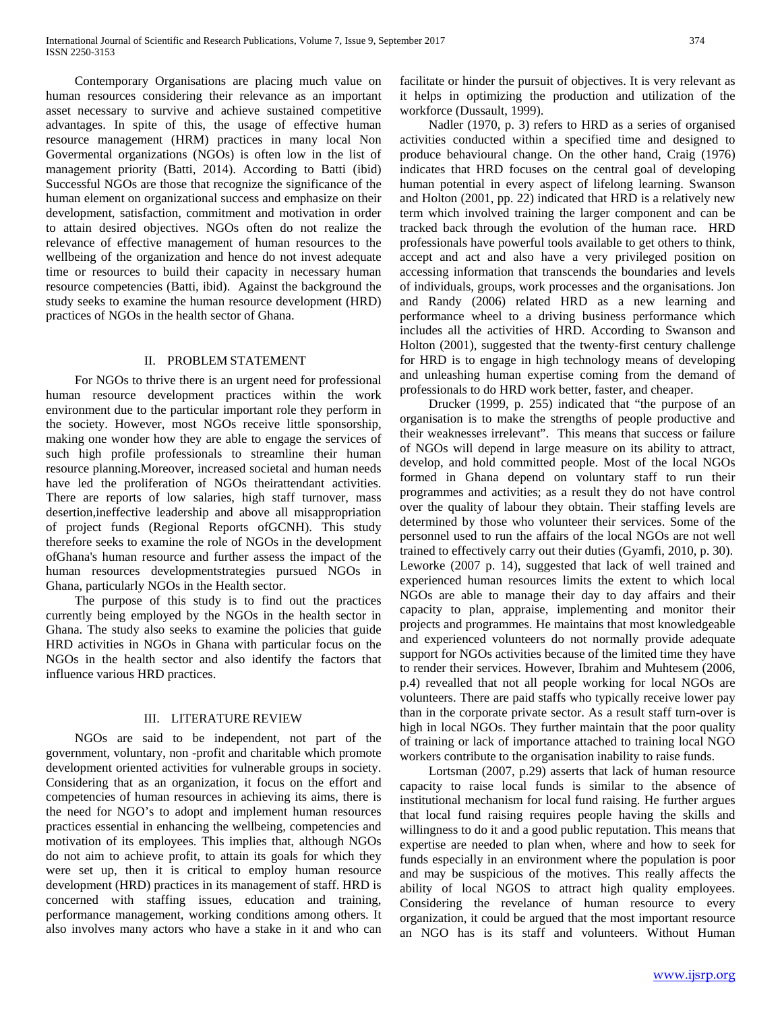Contemporary Organisations are placing much value on human resources considering their relevance as an important asset necessary to survive and achieve sustained competitive advantages. In spite of this, the usage of effective human resource management (HRM) practices in many local Non Govermental organizations (NGOs) is often low in the list of management priority (Batti, 2014). According to Batti (ibid) Successful NGOs are those that recognize the significance of the human element on organizational success and emphasize on their development, satisfaction, commitment and motivation in order to attain desired objectives. NGOs often do not realize the relevance of effective management of human resources to the wellbeing of the organization and hence do not invest adequate time or resources to build their capacity in necessary human resource competencies (Batti, ibid). Against the background the study seeks to examine the human resource development (HRD) practices of NGOs in the health sector of Ghana.

#### II. PROBLEM STATEMENT

 For NGOs to thrive there is an urgent need for professional human resource development practices within the work environment due to the particular important role they perform in the society. However, most NGOs receive little sponsorship, making one wonder how they are able to engage the services of such high profile professionals to streamline their human resource planning.Moreover, increased societal and human needs have led the proliferation of NGOs theirattendant activities. There are reports of low salaries, high staff turnover, mass desertion,ineffective leadership and above all misappropriation of project funds (Regional Reports ofGCNH). This study therefore seeks to examine the role of NGOs in the development ofGhana's human resource and further assess the impact of the human resources developmentstrategies pursued NGOs in Ghana, particularly NGOs in the Health sector.

 The purpose of this study is to find out the practices currently being employed by the NGOs in the health sector in Ghana. The study also seeks to examine the policies that guide HRD activities in NGOs in Ghana with particular focus on the NGOs in the health sector and also identify the factors that influence various HRD practices.

## III. LITERATURE REVIEW

 NGOs are said to be independent, not part of the government, voluntary, non -profit and charitable which promote development oriented activities for vulnerable groups in society. Considering that as an organization, it focus on the effort and competencies of human resources in achieving its aims, there is the need for NGO's to adopt and implement human resources practices essential in enhancing the wellbeing, competencies and motivation of its employees. This implies that, although NGOs do not aim to achieve profit, to attain its goals for which they were set up, then it is critical to employ human resource development (HRD) practices in its management of staff. HRD is concerned with staffing issues, education and training, performance management, working conditions among others. It also involves many actors who have a stake in it and who can

facilitate or hinder the pursuit of objectives. It is very relevant as it helps in optimizing the production and utilization of the workforce (Dussault, 1999).

 Nadler (1970, p. 3) refers to HRD as a series of organised activities conducted within a specified time and designed to produce behavioural change. On the other hand, Craig (1976) indicates that HRD focuses on the central goal of developing human potential in every aspect of lifelong learning. Swanson and Holton (2001, pp. 22) indicated that HRD is a relatively new term which involved training the larger component and can be tracked back through the evolution of the human race. HRD professionals have powerful tools available to get others to think, accept and act and also have a very privileged position on accessing information that transcends the boundaries and levels of individuals, groups, work processes and the organisations. Jon and Randy (2006) related HRD as a new learning and performance wheel to a driving business performance which includes all the activities of HRD. According to Swanson and Holton (2001), suggested that the twenty-first century challenge for HRD is to engage in high technology means of developing and unleashing human expertise coming from the demand of professionals to do HRD work better, faster, and cheaper.

 Drucker (1999, p. 255) indicated that "the purpose of an organisation is to make the strengths of people productive and their weaknesses irrelevant". This means that success or failure of NGOs will depend in large measure on its ability to attract, develop, and hold committed people. Most of the local NGOs formed in Ghana depend on voluntary staff to run their programmes and activities; as a result they do not have control over the quality of labour they obtain. Their staffing levels are determined by those who volunteer their services. Some of the personnel used to run the affairs of the local NGOs are not well trained to effectively carry out their duties (Gyamfi, 2010, p. 30). Leworke (2007 p. 14), suggested that lack of well trained and experienced human resources limits the extent to which local NGOs are able to manage their day to day affairs and their capacity to plan, appraise, implementing and monitor their projects and programmes. He maintains that most knowledgeable and experienced volunteers do not normally provide adequate support for NGOs activities because of the limited time they have to render their services. However, Ibrahim and Muhtesem (2006, p.4) revealled that not all people working for local NGOs are volunteers. There are paid staffs who typically receive lower pay than in the corporate private sector. As a result staff turn-over is high in local NGOs. They further maintain that the poor quality of training or lack of importance attached to training local NGO workers contribute to the organisation inability to raise funds.

 Lortsman (2007, p.29) asserts that lack of human resource capacity to raise local funds is similar to the absence of institutional mechanism for local fund raising. He further argues that local fund raising requires people having the skills and willingness to do it and a good public reputation. This means that expertise are needed to plan when, where and how to seek for funds especially in an environment where the population is poor and may be suspicious of the motives. This really affects the ability of local NGOS to attract high quality employees. Considering the revelance of human resource to every organization, it could be argued that the most important resource an NGO has is its staff and volunteers. Without Human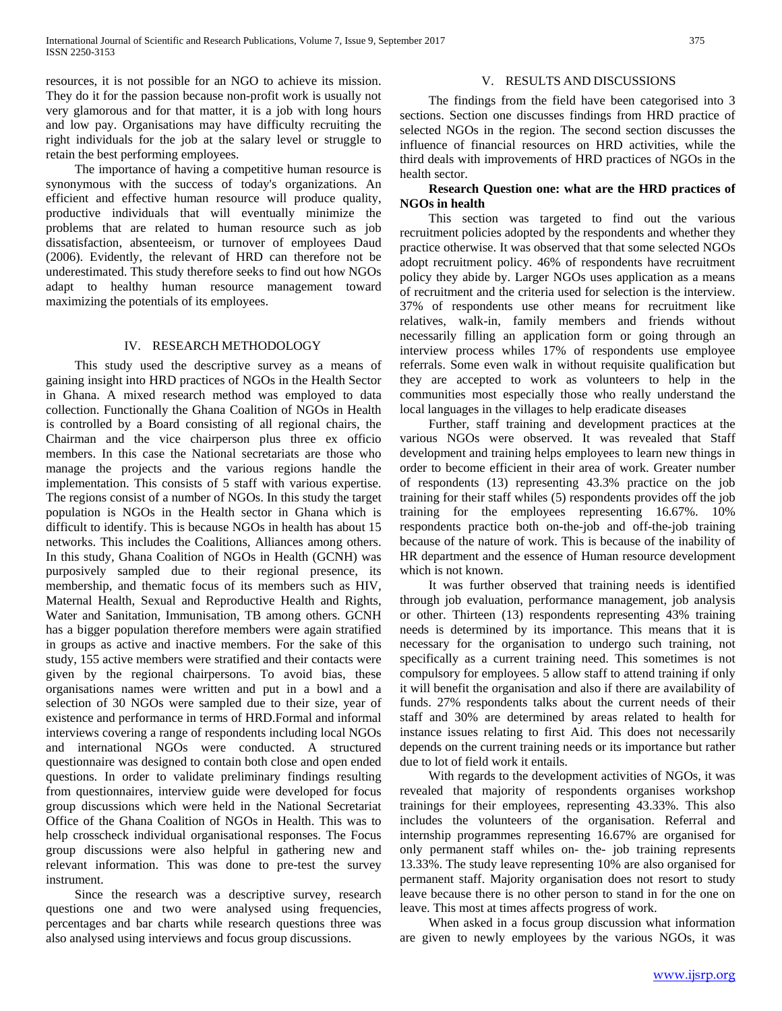resources, it is not possible for an NGO to achieve its mission. They do it for the passion because non-profit work is usually not very glamorous and for that matter, it is a job with long hours and low pay. Organisations may have difficulty recruiting the right individuals for the job at the salary level or struggle to retain the best performing employees.

 The importance of having a competitive human resource is synonymous with the success of today's organizations. An efficient and effective human resource will produce quality, productive individuals that will eventually minimize the problems that are related to human resource such as job dissatisfaction, absenteeism, or turnover of employees Daud (2006). Evidently, the relevant of HRD can therefore not be underestimated. This study therefore seeks to find out how NGOs adapt to healthy human resource management toward maximizing the potentials of its employees.

#### IV. RESEARCH METHODOLOGY

 This study used the descriptive survey as a means of gaining insight into HRD practices of NGOs in the Health Sector in Ghana. A mixed research method was employed to data collection. Functionally the Ghana Coalition of NGOs in Health is controlled by a Board consisting of all regional chairs, the Chairman and the vice chairperson plus three ex officio members. In this case the National secretariats are those who manage the projects and the various regions handle the implementation. This consists of 5 staff with various expertise. The regions consist of a number of NGOs. In this study the target population is NGOs in the Health sector in Ghana which is difficult to identify. This is because NGOs in health has about 15 networks. This includes the Coalitions, Alliances among others. In this study, Ghana Coalition of NGOs in Health (GCNH) was purposively sampled due to their regional presence, its membership, and thematic focus of its members such as HIV, Maternal Health, Sexual and Reproductive Health and Rights, Water and Sanitation, Immunisation, TB among others. GCNH has a bigger population therefore members were again stratified in groups as active and inactive members. For the sake of this study, 155 active members were stratified and their contacts were given by the regional chairpersons. To avoid bias, these organisations names were written and put in a bowl and a selection of 30 NGOs were sampled due to their size, year of existence and performance in terms of HRD.Formal and informal interviews covering a range of respondents including local NGOs and international NGOs were conducted. A structured questionnaire was designed to contain both close and open ended questions. In order to validate preliminary findings resulting from questionnaires, interview guide were developed for focus group discussions which were held in the National Secretariat Office of the Ghana Coalition of NGOs in Health. This was to help crosscheck individual organisational responses. The Focus group discussions were also helpful in gathering new and relevant information. This was done to pre-test the survey instrument.

 Since the research was a descriptive survey, research questions one and two were analysed using frequencies, percentages and bar charts while research questions three was also analysed using interviews and focus group discussions.

#### V. RESULTS AND DISCUSSIONS

 The findings from the field have been categorised into 3 sections. Section one discusses findings from HRD practice of selected NGOs in the region. The second section discusses the influence of financial resources on HRD activities, while the third deals with improvements of HRD practices of NGOs in the health sector.

# **Research Question one: what are the HRD practices of NGOs in health**

 This section was targeted to find out the various recruitment policies adopted by the respondents and whether they practice otherwise. It was observed that that some selected NGOs adopt recruitment policy. 46% of respondents have recruitment policy they abide by. Larger NGOs uses application as a means of recruitment and the criteria used for selection is the interview. 37% of respondents use other means for recruitment like relatives, walk-in, family members and friends without necessarily filling an application form or going through an interview process whiles 17% of respondents use employee referrals. Some even walk in without requisite qualification but they are accepted to work as volunteers to help in the communities most especially those who really understand the local languages in the villages to help eradicate diseases

 Further, staff training and development practices at the various NGOs were observed. It was revealed that Staff development and training helps employees to learn new things in order to become efficient in their area of work. Greater number of respondents (13) representing 43.3% practice on the job training for their staff whiles (5) respondents provides off the job training for the employees representing 16.67%. 10% respondents practice both on-the-job and off-the-job training because of the nature of work. This is because of the inability of HR department and the essence of Human resource development which is not known.

 It was further observed that training needs is identified through job evaluation, performance management, job analysis or other. Thirteen (13) respondents representing 43% training needs is determined by its importance. This means that it is necessary for the organisation to undergo such training, not specifically as a current training need. This sometimes is not compulsory for employees. 5 allow staff to attend training if only it will benefit the organisation and also if there are availability of funds. 27% respondents talks about the current needs of their staff and 30% are determined by areas related to health for instance issues relating to first Aid. This does not necessarily depends on the current training needs or its importance but rather due to lot of field work it entails.

 With regards to the development activities of NGOs, it was revealed that majority of respondents organises workshop trainings for their employees, representing 43.33%. This also includes the volunteers of the organisation. Referral and internship programmes representing 16.67% are organised for only permanent staff whiles on- the- job training represents 13.33%. The study leave representing 10% are also organised for permanent staff. Majority organisation does not resort to study leave because there is no other person to stand in for the one on leave. This most at times affects progress of work.

 When asked in a focus group discussion what information are given to newly employees by the various NGOs, it was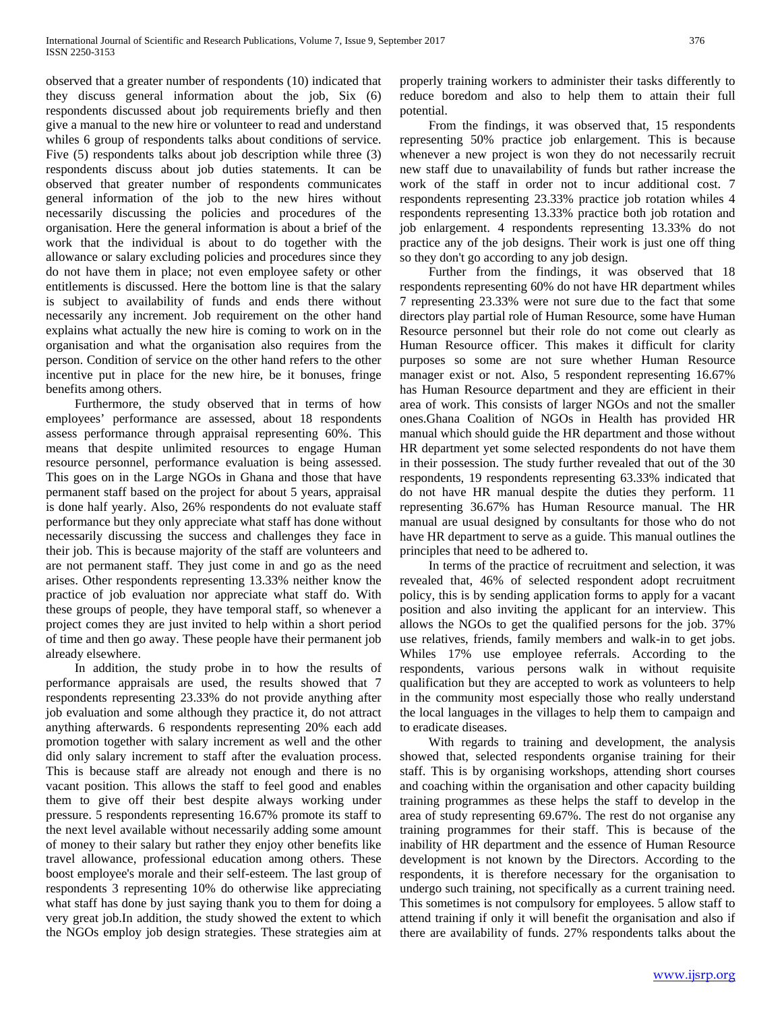observed that a greater number of respondents (10) indicated that they discuss general information about the job, Six (6) respondents discussed about job requirements briefly and then give a manual to the new hire or volunteer to read and understand whiles 6 group of respondents talks about conditions of service. Five (5) respondents talks about job description while three (3) respondents discuss about job duties statements. It can be observed that greater number of respondents communicates general information of the job to the new hires without necessarily discussing the policies and procedures of the organisation. Here the general information is about a brief of the work that the individual is about to do together with the allowance or salary excluding policies and procedures since they do not have them in place; not even employee safety or other entitlements is discussed. Here the bottom line is that the salary is subject to availability of funds and ends there without necessarily any increment. Job requirement on the other hand explains what actually the new hire is coming to work on in the organisation and what the organisation also requires from the person. Condition of service on the other hand refers to the other incentive put in place for the new hire, be it bonuses, fringe benefits among others.

 Furthermore, the study observed that in terms of how employees' performance are assessed, about 18 respondents assess performance through appraisal representing 60%. This means that despite unlimited resources to engage Human resource personnel, performance evaluation is being assessed. This goes on in the Large NGOs in Ghana and those that have permanent staff based on the project for about 5 years, appraisal is done half yearly. Also, 26% respondents do not evaluate staff performance but they only appreciate what staff has done without necessarily discussing the success and challenges they face in their job. This is because majority of the staff are volunteers and are not permanent staff. They just come in and go as the need arises. Other respondents representing 13.33% neither know the practice of job evaluation nor appreciate what staff do. With these groups of people, they have temporal staff, so whenever a project comes they are just invited to help within a short period of time and then go away. These people have their permanent job already elsewhere.

 In addition, the study probe in to how the results of performance appraisals are used, the results showed that 7 respondents representing 23.33% do not provide anything after job evaluation and some although they practice it, do not attract anything afterwards. 6 respondents representing 20% each add promotion together with salary increment as well and the other did only salary increment to staff after the evaluation process. This is because staff are already not enough and there is no vacant position. This allows the staff to feel good and enables them to give off their best despite always working under pressure. 5 respondents representing 16.67% promote its staff to the next level available without necessarily adding some amount of money to their salary but rather they enjoy other benefits like travel allowance, professional education among others. These boost employee's morale and their self-esteem. The last group of respondents 3 representing 10% do otherwise like appreciating what staff has done by just saying thank you to them for doing a very great job.In addition, the study showed the extent to which the NGOs employ job design strategies. These strategies aim at properly training workers to administer their tasks differently to reduce boredom and also to help them to attain their full potential.

 From the findings, it was observed that, 15 respondents representing 50% practice job enlargement. This is because whenever a new project is won they do not necessarily recruit new staff due to unavailability of funds but rather increase the work of the staff in order not to incur additional cost. 7 respondents representing 23.33% practice job rotation whiles 4 respondents representing 13.33% practice both job rotation and job enlargement. 4 respondents representing 13.33% do not practice any of the job designs. Their work is just one off thing so they don't go according to any job design.

 Further from the findings, it was observed that 18 respondents representing 60% do not have HR department whiles 7 representing 23.33% were not sure due to the fact that some directors play partial role of Human Resource, some have Human Resource personnel but their role do not come out clearly as Human Resource officer. This makes it difficult for clarity purposes so some are not sure whether Human Resource manager exist or not. Also, 5 respondent representing 16.67% has Human Resource department and they are efficient in their area of work. This consists of larger NGOs and not the smaller ones.Ghana Coalition of NGOs in Health has provided HR manual which should guide the HR department and those without HR department yet some selected respondents do not have them in their possession. The study further revealed that out of the 30 respondents, 19 respondents representing 63.33% indicated that do not have HR manual despite the duties they perform. 11 representing 36.67% has Human Resource manual. The HR manual are usual designed by consultants for those who do not have HR department to serve as a guide. This manual outlines the principles that need to be adhered to.

 In terms of the practice of recruitment and selection, it was revealed that, 46% of selected respondent adopt recruitment policy, this is by sending application forms to apply for a vacant position and also inviting the applicant for an interview. This allows the NGOs to get the qualified persons for the job. 37% use relatives, friends, family members and walk-in to get jobs. Whiles 17% use employee referrals. According to the respondents, various persons walk in without requisite qualification but they are accepted to work as volunteers to help in the community most especially those who really understand the local languages in the villages to help them to campaign and to eradicate diseases.

 With regards to training and development, the analysis showed that, selected respondents organise training for their staff. This is by organising workshops, attending short courses and coaching within the organisation and other capacity building training programmes as these helps the staff to develop in the area of study representing 69.67%. The rest do not organise any training programmes for their staff. This is because of the inability of HR department and the essence of Human Resource development is not known by the Directors. According to the respondents, it is therefore necessary for the organisation to undergo such training, not specifically as a current training need. This sometimes is not compulsory for employees. 5 allow staff to attend training if only it will benefit the organisation and also if there are availability of funds. 27% respondents talks about the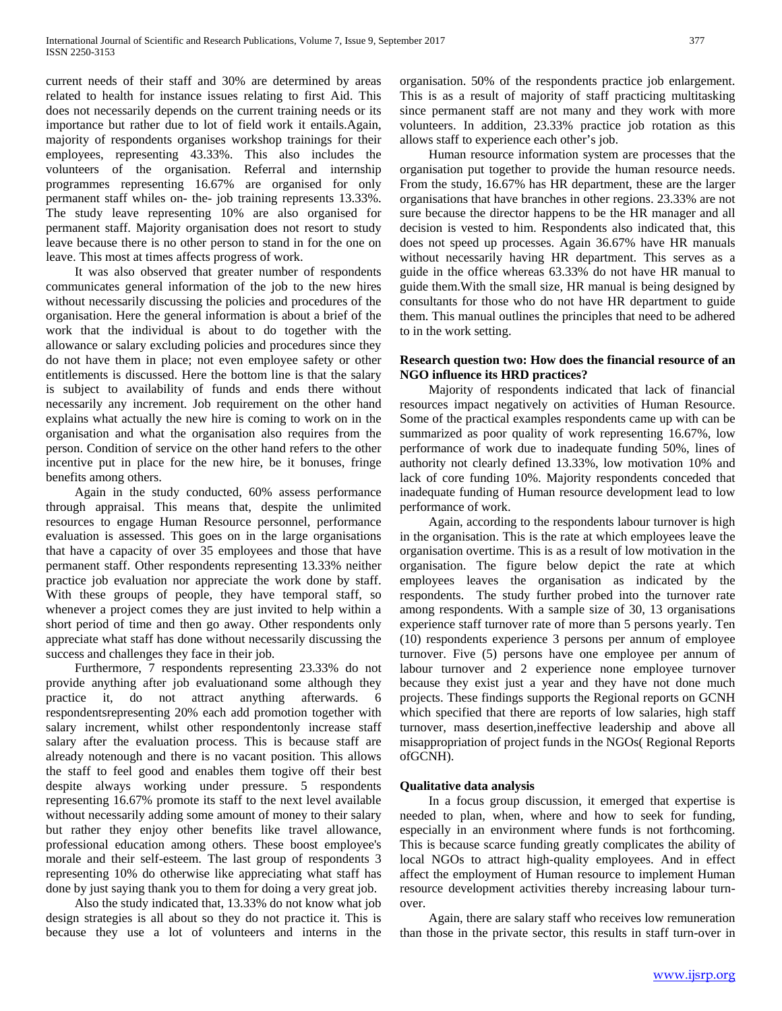current needs of their staff and 30% are determined by areas related to health for instance issues relating to first Aid. This does not necessarily depends on the current training needs or its importance but rather due to lot of field work it entails.Again, majority of respondents organises workshop trainings for their employees, representing 43.33%. This also includes the volunteers of the organisation. Referral and internship programmes representing 16.67% are organised for only permanent staff whiles on- the- job training represents 13.33%. The study leave representing 10% are also organised for permanent staff. Majority organisation does not resort to study leave because there is no other person to stand in for the one on leave. This most at times affects progress of work.

 It was also observed that greater number of respondents communicates general information of the job to the new hires without necessarily discussing the policies and procedures of the organisation. Here the general information is about a brief of the work that the individual is about to do together with the allowance or salary excluding policies and procedures since they do not have them in place; not even employee safety or other entitlements is discussed. Here the bottom line is that the salary is subject to availability of funds and ends there without necessarily any increment. Job requirement on the other hand explains what actually the new hire is coming to work on in the organisation and what the organisation also requires from the person. Condition of service on the other hand refers to the other incentive put in place for the new hire, be it bonuses, fringe benefits among others.

 Again in the study conducted, 60% assess performance through appraisal. This means that, despite the unlimited resources to engage Human Resource personnel, performance evaluation is assessed. This goes on in the large organisations that have a capacity of over 35 employees and those that have permanent staff. Other respondents representing 13.33% neither practice job evaluation nor appreciate the work done by staff. With these groups of people, they have temporal staff, so whenever a project comes they are just invited to help within a short period of time and then go away. Other respondents only appreciate what staff has done without necessarily discussing the success and challenges they face in their job.

 Furthermore, 7 respondents representing 23.33% do not provide anything after job evaluationand some although they practice it, do not attract anything afterwards. 6 respondentsrepresenting 20% each add promotion together with salary increment, whilst other respondentonly increase staff salary after the evaluation process. This is because staff are already notenough and there is no vacant position. This allows the staff to feel good and enables them togive off their best despite always working under pressure. 5 respondents representing 16.67% promote its staff to the next level available without necessarily adding some amount of money to their salary but rather they enjoy other benefits like travel allowance, professional education among others. These boost employee's morale and their self-esteem. The last group of respondents 3 representing 10% do otherwise like appreciating what staff has done by just saying thank you to them for doing a very great job.

 Also the study indicated that, 13.33% do not know what job design strategies is all about so they do not practice it. This is because they use a lot of volunteers and interns in the organisation. 50% of the respondents practice job enlargement. This is as a result of majority of staff practicing multitasking since permanent staff are not many and they work with more volunteers. In addition, 23.33% practice job rotation as this allows staff to experience each other's job.

 Human resource information system are processes that the organisation put together to provide the human resource needs. From the study, 16.67% has HR department, these are the larger organisations that have branches in other regions. 23.33% are not sure because the director happens to be the HR manager and all decision is vested to him. Respondents also indicated that, this does not speed up processes. Again 36.67% have HR manuals without necessarily having HR department. This serves as a guide in the office whereas 63.33% do not have HR manual to guide them.With the small size, HR manual is being designed by consultants for those who do not have HR department to guide them. This manual outlines the principles that need to be adhered to in the work setting.

## **Research question two: How does the financial resource of an NGO influence its HRD practices?**

 Majority of respondents indicated that lack of financial resources impact negatively on activities of Human Resource. Some of the practical examples respondents came up with can be summarized as poor quality of work representing 16.67%, low performance of work due to inadequate funding 50%, lines of authority not clearly defined 13.33%, low motivation 10% and lack of core funding 10%. Majority respondents conceded that inadequate funding of Human resource development lead to low performance of work.

 Again, according to the respondents labour turnover is high in the organisation. This is the rate at which employees leave the organisation overtime. This is as a result of low motivation in the organisation. The figure below depict the rate at which employees leaves the organisation as indicated by the respondents. The study further probed into the turnover rate among respondents. With a sample size of 30, 13 organisations experience staff turnover rate of more than 5 persons yearly. Ten (10) respondents experience 3 persons per annum of employee turnover. Five (5) persons have one employee per annum of labour turnover and 2 experience none employee turnover because they exist just a year and they have not done much projects. These findings supports the Regional reports on GCNH which specified that there are reports of low salaries, high staff turnover, mass desertion,ineffective leadership and above all misappropriation of project funds in the NGOs( Regional Reports ofGCNH).

# **Qualitative data analysis**

 In a focus group discussion, it emerged that expertise is needed to plan, when, where and how to seek for funding, especially in an environment where funds is not forthcoming. This is because scarce funding greatly complicates the ability of local NGOs to attract high-quality employees. And in effect affect the employment of Human resource to implement Human resource development activities thereby increasing labour turnover.

 Again, there are salary staff who receives low remuneration than those in the private sector, this results in staff turn-over in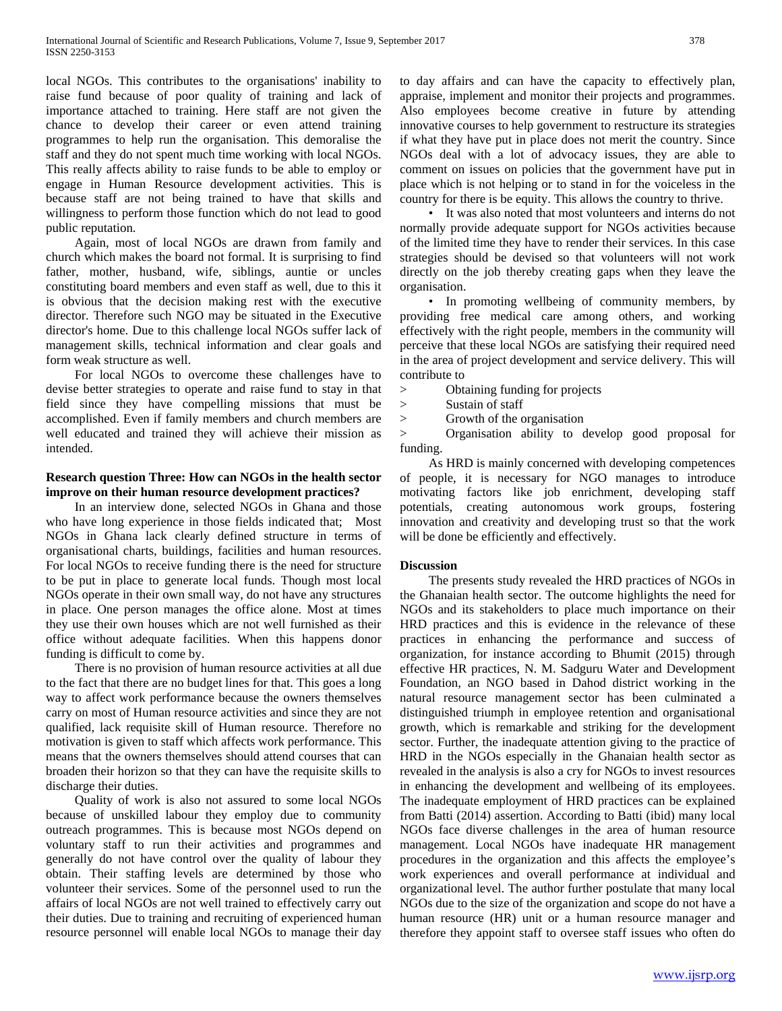local NGOs. This contributes to the organisations' inability to raise fund because of poor quality of training and lack of importance attached to training. Here staff are not given the chance to develop their career or even attend training programmes to help run the organisation. This demoralise the staff and they do not spent much time working with local NGOs. This really affects ability to raise funds to be able to employ or engage in Human Resource development activities. This is because staff are not being trained to have that skills and willingness to perform those function which do not lead to good public reputation.

 Again, most of local NGOs are drawn from family and church which makes the board not formal. It is surprising to find father, mother, husband, wife, siblings, auntie or uncles constituting board members and even staff as well, due to this it is obvious that the decision making rest with the executive director. Therefore such NGO may be situated in the Executive director's home. Due to this challenge local NGOs suffer lack of management skills, technical information and clear goals and form weak structure as well.

 For local NGOs to overcome these challenges have to devise better strategies to operate and raise fund to stay in that field since they have compelling missions that must be accomplished. Even if family members and church members are well educated and trained they will achieve their mission as intended.

# **Research question Three: How can NGOs in the health sector improve on their human resource development practices?**

 In an interview done, selected NGOs in Ghana and those who have long experience in those fields indicated that; Most NGOs in Ghana lack clearly defined structure in terms of organisational charts, buildings, facilities and human resources. For local NGOs to receive funding there is the need for structure to be put in place to generate local funds. Though most local NGOs operate in their own small way, do not have any structures in place. One person manages the office alone. Most at times they use their own houses which are not well furnished as their office without adequate facilities. When this happens donor funding is difficult to come by.

 There is no provision of human resource activities at all due to the fact that there are no budget lines for that. This goes a long way to affect work performance because the owners themselves carry on most of Human resource activities and since they are not qualified, lack requisite skill of Human resource. Therefore no motivation is given to staff which affects work performance. This means that the owners themselves should attend courses that can broaden their horizon so that they can have the requisite skills to discharge their duties.

 Quality of work is also not assured to some local NGOs because of unskilled labour they employ due to community outreach programmes. This is because most NGOs depend on voluntary staff to run their activities and programmes and generally do not have control over the quality of labour they obtain. Their staffing levels are determined by those who volunteer their services. Some of the personnel used to run the affairs of local NGOs are not well trained to effectively carry out their duties. Due to training and recruiting of experienced human resource personnel will enable local NGOs to manage their day to day affairs and can have the capacity to effectively plan, appraise, implement and monitor their projects and programmes. Also employees become creative in future by attending innovative courses to help government to restructure its strategies if what they have put in place does not merit the country. Since NGOs deal with a lot of advocacy issues, they are able to comment on issues on policies that the government have put in place which is not helping or to stand in for the voiceless in the country for there is be equity. This allows the country to thrive.

 • It was also noted that most volunteers and interns do not normally provide adequate support for NGOs activities because of the limited time they have to render their services. In this case strategies should be devised so that volunteers will not work directly on the job thereby creating gaps when they leave the organisation.

 • In promoting wellbeing of community members, by providing free medical care among others, and working effectively with the right people, members in the community will perceive that these local NGOs are satisfying their required need in the area of project development and service delivery. This will contribute to

> Obtaining funding for projects

- > Sustain of staff
- > Growth of the organisation

> Organisation ability to develop good proposal for funding.

 As HRD is mainly concerned with developing competences of people, it is necessary for NGO manages to introduce motivating factors like job enrichment, developing staff potentials, creating autonomous work groups, fostering innovation and creativity and developing trust so that the work will be done be efficiently and effectively.

## **Discussion**

 The presents study revealed the HRD practices of NGOs in the Ghanaian health sector. The outcome highlights the need for NGOs and its stakeholders to place much importance on their HRD practices and this is evidence in the relevance of these practices in enhancing the performance and success of organization, for instance according to Bhumit (2015) through effective HR practices, N. M. Sadguru Water and Development Foundation, an NGO based in Dahod district working in the natural resource management sector has been culminated a distinguished triumph in employee retention and organisational growth, which is remarkable and striking for the development sector. Further, the inadequate attention giving to the practice of HRD in the NGOs especially in the Ghanaian health sector as revealed in the analysis is also a cry for NGOs to invest resources in enhancing the development and wellbeing of its employees. The inadequate employment of HRD practices can be explained from Batti (2014) assertion. According to Batti (ibid) many local NGOs face diverse challenges in the area of human resource management. Local NGOs have inadequate HR management procedures in the organization and this affects the employee's work experiences and overall performance at individual and organizational level. The author further postulate that many local NGOs due to the size of the organization and scope do not have a human resource (HR) unit or a human resource manager and therefore they appoint staff to oversee staff issues who often do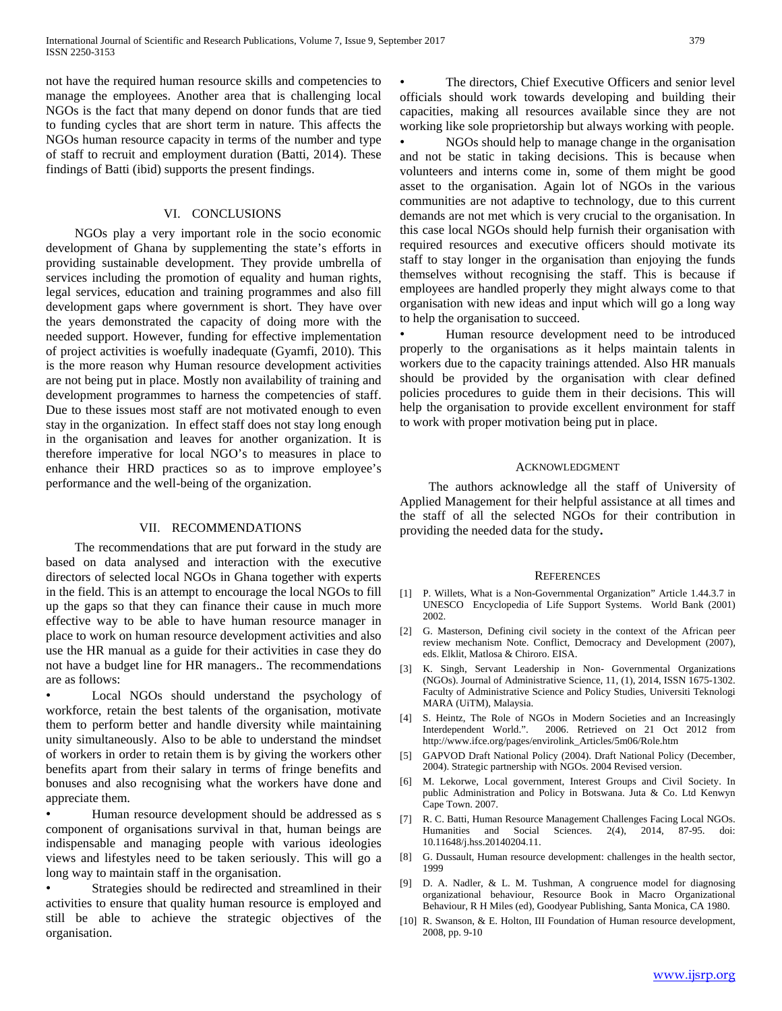not have the required human resource skills and competencies to manage the employees. Another area that is challenging local NGOs is the fact that many depend on donor funds that are tied to funding cycles that are short term in nature. This affects the NGOs human resource capacity in terms of the number and type of staff to recruit and employment duration (Batti, 2014). These findings of Batti (ibid) supports the present findings.

# VI. CONCLUSIONS

 NGOs play a very important role in the socio economic development of Ghana by supplementing the state's efforts in providing sustainable development. They provide umbrella of services including the promotion of equality and human rights, legal services, education and training programmes and also fill development gaps where government is short. They have over the years demonstrated the capacity of doing more with the needed support. However, funding for effective implementation of project activities is woefully inadequate (Gyamfi, 2010). This is the more reason why Human resource development activities are not being put in place. Mostly non availability of training and development programmes to harness the competencies of staff. Due to these issues most staff are not motivated enough to even stay in the organization. In effect staff does not stay long enough in the organisation and leaves for another organization. It is therefore imperative for local NGO's to measures in place to enhance their HRD practices so as to improve employee's performance and the well-being of the organization.

#### VII. RECOMMENDATIONS

 The recommendations that are put forward in the study are based on data analysed and interaction with the executive directors of selected local NGOs in Ghana together with experts in the field. This is an attempt to encourage the local NGOs to fill up the gaps so that they can finance their cause in much more effective way to be able to have human resource manager in place to work on human resource development activities and also use the HR manual as a guide for their activities in case they do not have a budget line for HR managers.. The recommendations are as follows:

Local NGOs should understand the psychology of workforce, retain the best talents of the organisation, motivate them to perform better and handle diversity while maintaining unity simultaneously. Also to be able to understand the mindset of workers in order to retain them is by giving the workers other benefits apart from their salary in terms of fringe benefits and bonuses and also recognising what the workers have done and appreciate them.

Human resource development should be addressed as s component of organisations survival in that, human beings are indispensable and managing people with various ideologies views and lifestyles need to be taken seriously. This will go a long way to maintain staff in the organisation.

Strategies should be redirected and streamlined in their activities to ensure that quality human resource is employed and still be able to achieve the strategic objectives of the organisation.

The directors, Chief Executive Officers and senior level officials should work towards developing and building their capacities, making all resources available since they are not working like sole proprietorship but always working with people.

• NGOs should help to manage change in the organisation and not be static in taking decisions. This is because when volunteers and interns come in, some of them might be good asset to the organisation. Again lot of NGOs in the various communities are not adaptive to technology, due to this current demands are not met which is very crucial to the organisation. In this case local NGOs should help furnish their organisation with required resources and executive officers should motivate its staff to stay longer in the organisation than enjoying the funds themselves without recognising the staff. This is because if employees are handled properly they might always come to that organisation with new ideas and input which will go a long way to help the organisation to succeed.

• Human resource development need to be introduced properly to the organisations as it helps maintain talents in workers due to the capacity trainings attended. Also HR manuals should be provided by the organisation with clear defined policies procedures to guide them in their decisions. This will help the organisation to provide excellent environment for staff to work with proper motivation being put in place.

#### ACKNOWLEDGMENT

 The authors acknowledge all the staff of University of Applied Management for their helpful assistance at all times and the staff of all the selected NGOs for their contribution in providing the needed data for the study**.**

#### **REFERENCES**

- [1] P. Willets, What is a Non-Governmental Organization" Article 1.44.3.7 in UNESCO Encyclopedia of Life Support Systems. World Bank (2001) 2002.
- [2] G. Masterson, Defining civil society in the context of the African peer review mechanism Note. Conflict, Democracy and Development (2007), eds. Elklit, Matlosa & Chiroro. EISA.
- [3] K. Singh, Servant Leadership in Non- Governmental Organizations (NGOs). Journal of Administrative Science, 11, (1), 2014, ISSN 1675-1302. Faculty of Administrative Science and Policy Studies, Universiti Teknologi MARA (UiTM), Malaysia.
- [4] S. Heintz, The Role of NGOs in Modern Societies and an Increasingly Interdependent World.". 2006. Retrieved on 21 Oct 2012 from http://www.ifce.org/pages/envirolink\_Articles/5m06/Role.htm
- [5] GAPVOD Draft National Policy (2004). Draft National Policy (December, 2004). Strategic partnership with NGOs. 2004 Revised version.
- [6] M. Lekorwe, Local government, Interest Groups and Civil Society. In public Administration and Policy in Botswana. Juta & Co. Ltd Kenwyn Cape Town. 2007.
- [7] R. C. Batti, Human Resource Management Challenges Facing Local NGOs. Humanities and Social Sciences. 2(4), 2014, 87-95. doi: 10.11648/j.hss.20140204.11.
- [8] G. Dussault, Human resource development: challenges in the health sector, 1999
- [9] D. A. Nadler, & L. M. Tushman, A congruence model for diagnosing organizational behaviour, Resource Book in Macro Organizational Behaviour, R H Miles (ed), Goodyear Publishing, Santa Monica, CA 1980.
- [10] R. Swanson, & E. Holton, III Foundation of Human resource development, 2008, pp. 9-10